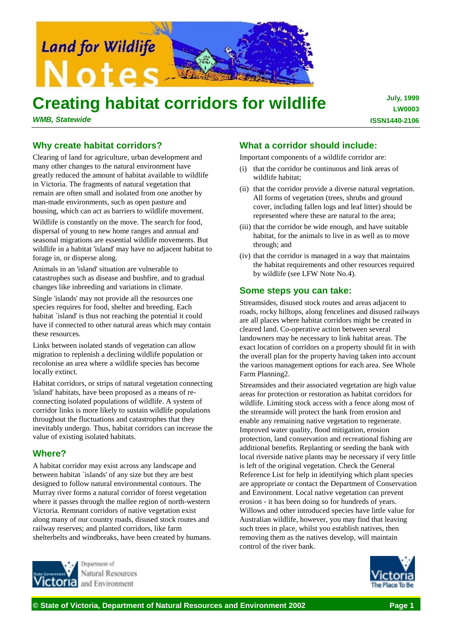

# **Creating habitat corridors for wildlife**

*WMB, Statewide*

**July, 1999 LW0003 ISSN1440-2106**

# **Why create habitat corridors?**

Clearing of land for agriculture, urban development and many other changes to the natural environment have greatly reduced the amount of habitat available to wildlife in Victoria. The fragments of natural vegetation that remain are often small and isolated from one another by man-made environments, such as open pasture and housing, which can act as barriers to wildlife movement.

Wildlife is constantly on the move. The search for food, dispersal of young to new home ranges and annual and seasonal migrations are essential wildlife movements. But wildlife in a habitat 'island' may have no adjacent habitat to forage in, or disperse along.

Animals in an 'island' situation are vulnerable to catastrophes such as disease and bushfire, and to gradual changes like inbreeding and variations in climate.

Single 'islands' may not provide all the resources one species requires for food, shelter and breeding. Each habitat `island' is thus not reaching the potential it could have if connected to other natural areas which may contain these resources.

Links between isolated stands of vegetation can allow migration to replenish a declining wildlife population or recolonise an area where a wildlife species has become locally extinct.

Habitat corridors, or strips of natural vegetation connecting 'island' habitats, have been proposed as a means of reconnecting isolated populations of wildlife. A system of corridor links is more likely to sustain wildlife populations throughout the fluctuations and catastrophes that they inevitably undergo. Thus, habitat corridors can increase the value of existing isolated habitats.

## **Where?**

A habitat corridor may exist across any landscape and between habitat `islands' of any size but they are best designed to follow natural environmental contours. The Murray river forms a natural corridor of forest vegetation where it passes through the mallee region of north-western Victoria. Remnant corridors of native vegetation exist along many of our country roads, disused stock routes and railway reserves; and planted corridors, like farm shelterbelts and windbreaks, have been created by humans.

> Denartment of Natural Resources and Environment

### **What a corridor should include:**

Important components of a wildlife corridor are:

- (i) that the corridor be continuous and link areas of wildlife habitat;
- (ii) that the corridor provide a diverse natural vegetation. All forms of vegetation (trees, shrubs and ground cover, including fallen logs and leaf litter) should be represented where these are natural to the area;
- (iii) that the corridor be wide enough, and have suitable habitat, for the animals to live in as well as to move through; and
- (iv) that the corridor is managed in a way that maintains the habitat requirements and other resources required by wildlife (see LFW Note No.4).

#### **Some steps you can take:**

Streamsides, disused stock routes and areas adjacent to roads, rocky hilltops, along fencelines and disused railways are all places where habitat corridors might be created in cleared land. Co-operative action between several landowners may be necessary to link habitat areas. The exact location of corridors on a property should fit in with the overall plan for the property having taken into account the various management options for each area. See Whole Farm Planning2.

Streamsides and their associated vegetation are high value areas for protection or restoration as habitat corridors for wildlife. Limiting stock access with a fence along most of the streamside will protect the bank from erosion and enable any remaining native vegetation to regenerate. Improved water quality, flood mitigation, erosion protection, land conservation and recreational fishing are additional benefits. Replanting or seeding the bank with local riverside native plants may be necessary if very little is left of the original vegetation. Check the General Reference List for help in identifying which plant species are appropriate or contact the Department of Conservation and Environment. Local native vegetation can prevent erosion - it has been doing so for hundreds of years. Willows and other introduced species have little value for Australian wildlife, however, you may find that leaving such trees in place, whilst you establish natives, then removing them as the natives develop, will maintain control of the river bank.